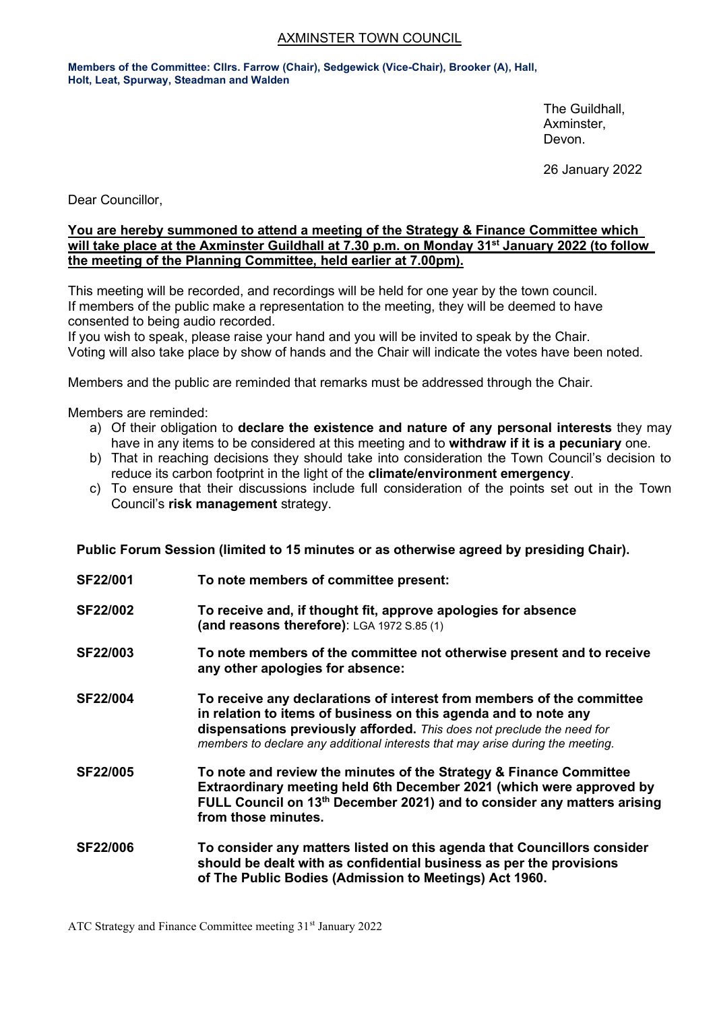# AXMINSTER TOWN COUNCIL

**Members of the Committee: Cllrs. Farrow (Chair), Sedgewick (Vice-Chair), Brooker (A), Hall, Holt, Leat, Spurway, Steadman and Walden**

> The Guildhall, Axminster, Devon.

26 January 2022

Dear Councillor,

### **You are hereby summoned to attend a meeting of the Strategy & Finance Committee which will take place at the Axminster Guildhall at 7.30 p.m. on Monday 31st January 2022 (to follow the meeting of the Planning Committee, held earlier at 7.00pm).**

This meeting will be recorded, and recordings will be held for one year by the town council. If members of the public make a representation to the meeting, they will be deemed to have consented to being audio recorded.

If you wish to speak, please raise your hand and you will be invited to speak by the Chair. Voting will also take place by show of hands and the Chair will indicate the votes have been noted.

Members and the public are reminded that remarks must be addressed through the Chair.

Members are reminded:

- a) Of their obligation to **declare the existence and nature of any personal interests** they may have in any items to be considered at this meeting and to **withdraw if it is a pecuniary** one.
- b) That in reaching decisions they should take into consideration the Town Council's decision to reduce its carbon footprint in the light of the **climate/environment emergency**.
- c) To ensure that their discussions include full consideration of the points set out in the Town Council's **risk management** strategy.

**Public Forum Session (limited to 15 minutes or as otherwise agreed by presiding Chair).**

- **SF22/001 To note members of committee present:**
- **SF22/002 To receive and, if thought fit, approve apologies for absence (and reasons therefore)**: LGA 1972 S.85 (1)
- **SF22/003 To note members of the committee not otherwise present and to receive any other apologies for absence:**
- **SF22/004 To receive any declarations of interest from members of the committee in relation to items of business on this agenda and to note any dispensations previously afforded.** *This does not preclude the need for members to declare any additional interests that may arise during the meeting.*
- **SF22/005 To note and review the minutes of the Strategy & Finance Committee Extraordinary meeting held 6th December 2021 (which were approved by FULL Council on 13th December 2021) and to consider any matters arising from those minutes.**
- **SF22/006 To consider any matters listed on this agenda that Councillors consider should be dealt with as confidential business as per the provisions of The Public Bodies (Admission to Meetings) Act 1960.**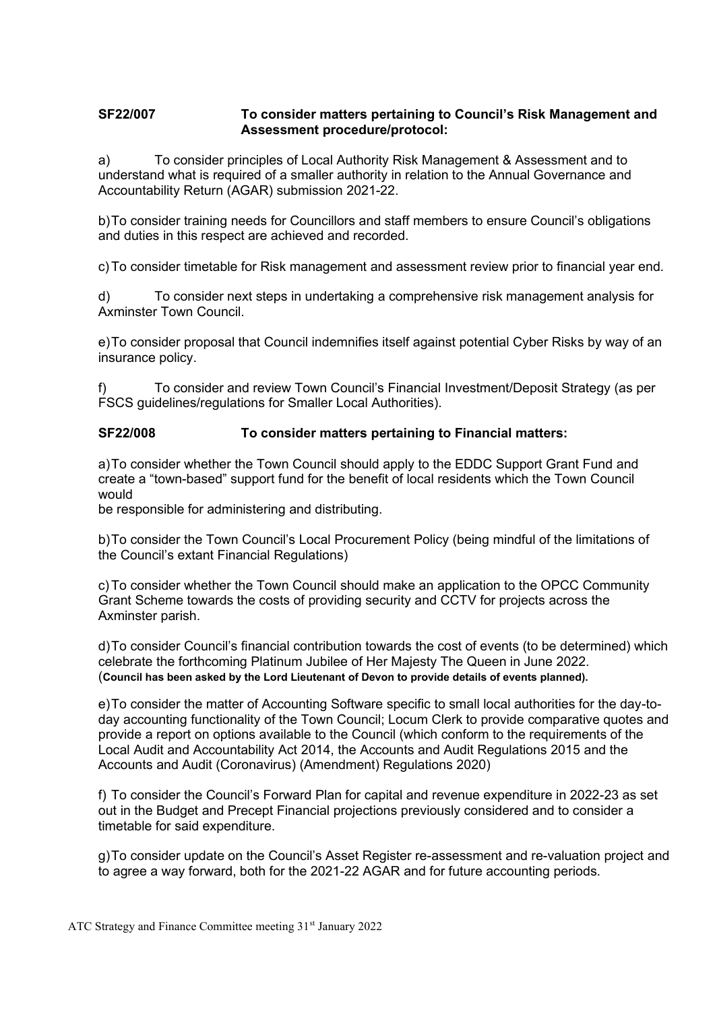# **SF22/007 To consider matters pertaining to Council's Risk Management and Assessment procedure/protocol:**

a) To consider principles of Local Authority Risk Management & Assessment and to understand what is required of a smaller authority in relation to the Annual Governance and Accountability Return (AGAR) submission 2021-22.

b)To consider training needs for Councillors and staff members to ensure Council's obligations and duties in this respect are achieved and recorded.

c)To consider timetable for Risk management and assessment review prior to financial year end.

d) To consider next steps in undertaking a comprehensive risk management analysis for Axminster Town Council.

e)To consider proposal that Council indemnifies itself against potential Cyber Risks by way of an insurance policy.

f) To consider and review Town Council's Financial Investment/Deposit Strategy (as per FSCS guidelines/regulations for Smaller Local Authorities).

# **SF22/008 To consider matters pertaining to Financial matters:**

a)To consider whether the Town Council should apply to the EDDC Support Grant Fund and create a "town-based" support fund for the benefit of local residents which the Town Council would

be responsible for administering and distributing.

b)To consider the Town Council's Local Procurement Policy (being mindful of the limitations of the Council's extant Financial Regulations)

c)To consider whether the Town Council should make an application to the OPCC Community Grant Scheme towards the costs of providing security and CCTV for projects across the Axminster parish.

d)To consider Council's financial contribution towards the cost of events (to be determined) which celebrate the forthcoming Platinum Jubilee of Her Majesty The Queen in June 2022. (**Council has been asked by the Lord Lieutenant of Devon to provide details of events planned).**

e)To consider the matter of Accounting Software specific to small local authorities for the day-today accounting functionality of the Town Council; Locum Clerk to provide comparative quotes and provide a report on options available to the Council (which conform to the requirements of the Local Audit and Accountability Act 2014, the Accounts and Audit Regulations 2015 and the Accounts and Audit (Coronavirus) (Amendment) Regulations 2020)

f) To consider the Council's Forward Plan for capital and revenue expenditure in 2022-23 as set out in the Budget and Precept Financial projections previously considered and to consider a timetable for said expenditure.

g)To consider update on the Council's Asset Register re-assessment and re-valuation project and to agree a way forward, both for the 2021-22 AGAR and for future accounting periods.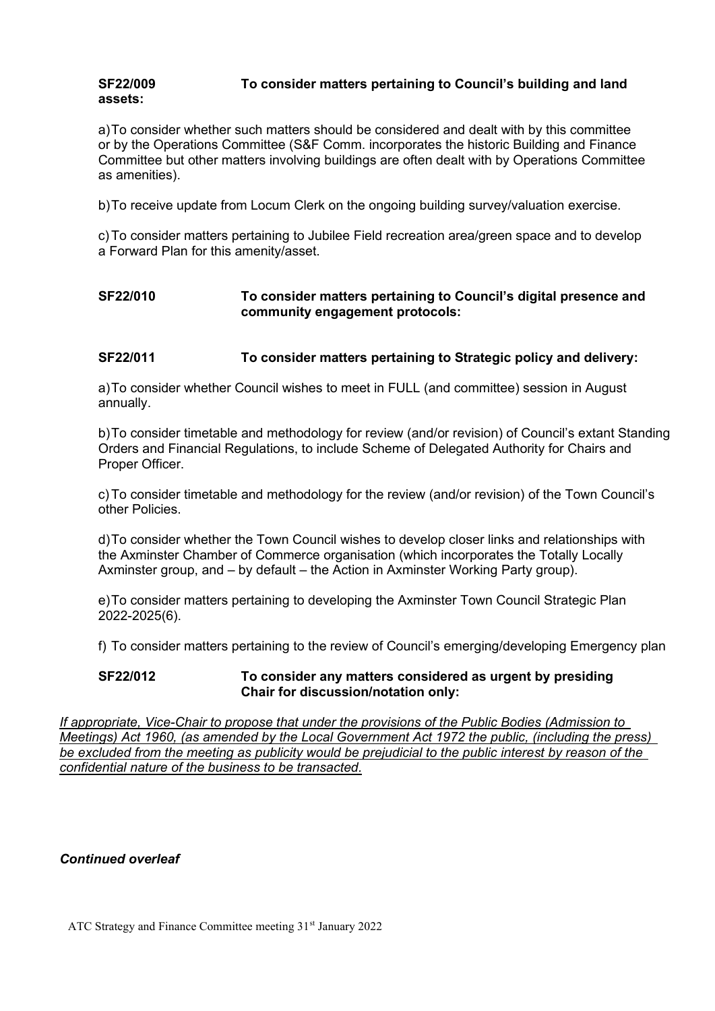#### **SF22/009 To consider matters pertaining to Council's building and land assets:**

a)To consider whether such matters should be considered and dealt with by this committee or by the Operations Committee (S&F Comm. incorporates the historic Building and Finance Committee but other matters involving buildings are often dealt with by Operations Committee as amenities).

b)To receive update from Locum Clerk on the ongoing building survey/valuation exercise.

c)To consider matters pertaining to Jubilee Field recreation area/green space and to develop a Forward Plan for this amenity/asset.

# **SF22/010 To consider matters pertaining to Council's digital presence and community engagement protocols:**

# **SF22/011 To consider matters pertaining to Strategic policy and delivery:**

a)To consider whether Council wishes to meet in FULL (and committee) session in August annually.

b)To consider timetable and methodology for review (and/or revision) of Council's extant Standing Orders and Financial Regulations, to include Scheme of Delegated Authority for Chairs and Proper Officer.

c)To consider timetable and methodology for the review (and/or revision) of the Town Council's other Policies.

d)To consider whether the Town Council wishes to develop closer links and relationships with the Axminster Chamber of Commerce organisation (which incorporates the Totally Locally Axminster group, and – by default – the Action in Axminster Working Party group).

e)To consider matters pertaining to developing the Axminster Town Council Strategic Plan 2022-2025(6).

f) To consider matters pertaining to the review of Council's emerging/developing Emergency plan

### **SF22/012 To consider any matters considered as urgent by presiding Chair for discussion/notation only:**

*If appropriate, Vice-Chair to propose that under the provisions of the Public Bodies (Admission to Meetings) Act 1960, (as amended by the Local Government Act 1972 the public, (including the press) be excluded from the meeting as publicity would be prejudicial to the public interest by reason of the confidential nature of the business to be transacted.*

#### *Continued overleaf*